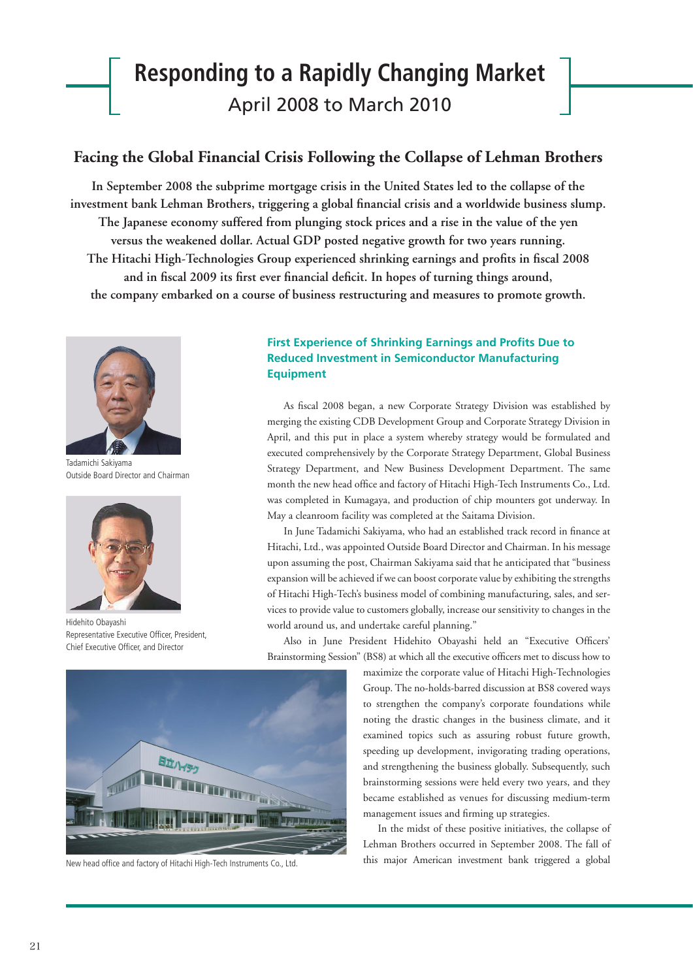# **Responding to a Rapidly Changing Market** April 2008 to March 2010

### **Facing the Global Financial Crisis Following the Collapse of Lehman Brothers**

**In September 2008 the subprime mortgage crisis in the United States led to the collapse of the**  investment bank Lehman Brothers, triggering a global financial crisis and a worldwide business slump. **The Japanese economy suffered from plunging stock prices and a rise in the value of the yen versus the weakened dollar. Actual GDP posted negative growth for two years running.**  The Hitachi High-Technologies Group experienced shrinking earnings and profits in fiscal 2008 and in fiscal 2009 its first ever financial deficit. In hopes of turning things around, **the company embarked on a course of business restructuring and measures to promote growth.**



Tadamichi Sakiyama Outside Board Director and Chairman



Hidehito Obayashi Representative Executive Officer, President Chief Executive Officer, and Director



New head office and factory of Hitachi High-Tech Instruments Co., Ltd.

#### **First Experience of Shrinking Earnings and Profits Due to Reduced Investment in Semiconductor Manufacturing Equipment**

As fiscal 2008 began, a new Corporate Strategy Division was established by merging the existing CDB Development Group and Corporate Strategy Division in April, and this put in place a system whereby strategy would be formulated and executed comprehensively by the Corporate Strategy Department, Global Business Strategy Department, and New Business Development Department. The same month the new head office and factory of Hitachi High-Tech Instruments Co., Ltd. was completed in Kumagaya, and production of chip mounters got underway. In May a cleanroom facility was completed at the Saitama Division.

In June Tadamichi Sakiyama, who had an established track record in finance at Hitachi, Ltd., was appointed Outside Board Director and Chairman. In his message upon assuming the post, Chairman Sakiyama said that he anticipated that "business expansion will be achieved if we can boost corporate value by exhibiting the strengths of Hitachi High-Tech's business model of combining manufacturing, sales, and services to provide value to customers globally, increase our sensitivity to changes in the world around us, and undertake careful planning."

Also in June President Hidehito Obayashi held an "Executive Officers' Brainstorming Session" (BS8) at which all the executive officers met to discuss how to

> maximize the corporate value of Hitachi High-Technologies Group. The no-holds-barred discussion at BS8 covered ways to strengthen the company's corporate foundations while noting the drastic changes in the business climate, and it examined topics such as assuring robust future growth, speeding up development, invigorating trading operations, and strengthening the business globally. Subsequently, such brainstorming sessions were held every two years, and they became established as venues for discussing medium-term management issues and firming up strategies.

> In the midst of these positive initiatives, the collapse of Lehman Brothers occurred in September 2008. The fall of this major American investment bank triggered a global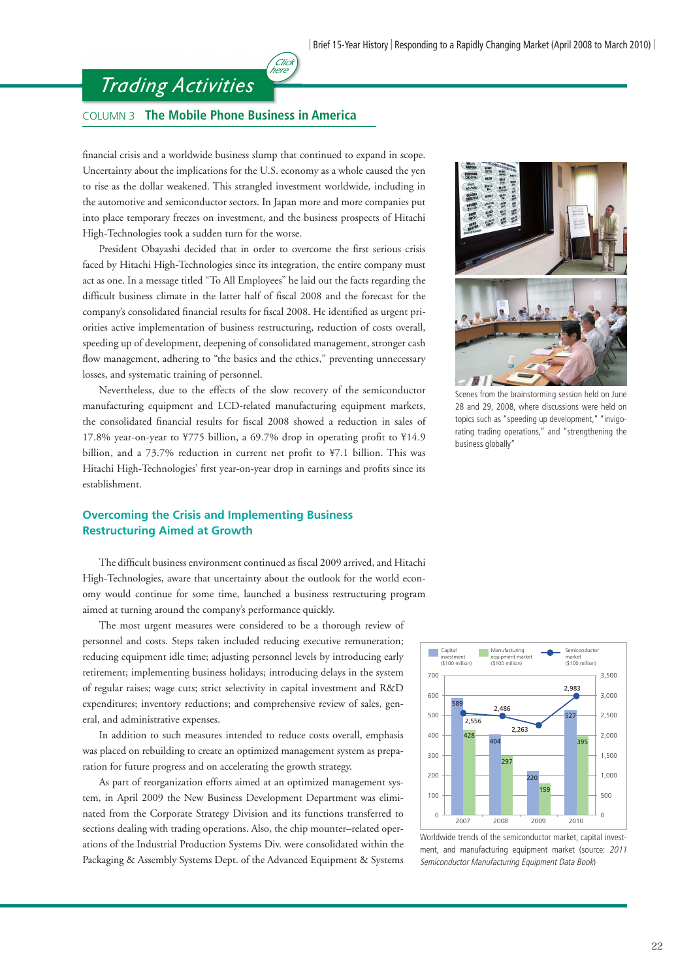### *Trading Activities*

#### COLUMN 3 **The Mobile Phone Business in America**

financial crisis and a worldwide business slump that continued to expand in scope. Uncertainty about the implications for the U.S. economy as a whole caused the yen to rise as the dollar weakened. This strangled investment worldwide, including in the automotive and semiconductor sectors. In Japan more and more companies put into place temporary freezes on investment, and the business prospects of Hitachi High-Technologies took a sudden turn for the worse.

(click<br>here

President Obayashi decided that in order to overcome the first serious crisis faced by Hitachi High-Technologies since its integration, the entire company must act as one. In a message titled "To All Employees" he laid out the facts regarding the difficult business climate in the latter half of fiscal 2008 and the forecast for the company's consolidated financial results for fiscal 2008. He identified as urgent priorities active implementation of business restructuring, reduction of costs overall, speeding up of development, deepening of consolidated management, stronger cash flow management, adhering to "the basics and the ethics," preventing unnecessary losses, and systematic training of personnel.

 Nevertheless, due to the effects of the slow recovery of the semiconductor manufacturing equipment and LCD-related manufacturing equipment markets, the consolidated financial results for fiscal 2008 showed a reduction in sales of 17.8% year-on-year to  $4775$  billion, a 69.7% drop in operating profit to  $414.9$ billion, and a 73.7% reduction in current net profit to ¥7.1 billion. This was Hitachi High-Technologies' first year-on-year drop in earnings and profits since its establishment.

#### **Overcoming the Crisis and Implementing Business Restructuring Aimed at Growth**

The difficult business environment continued as fiscal 2009 arrived, and Hitachi High-Technologies, aware that uncertainty about the outlook for the world economy would continue for some time, launched a business restructuring program aimed at turning around the company's performance quickly.

 The most urgent measures were considered to be a thorough review of personnel and costs. Steps taken included reducing executive remuneration; reducing equipment idle time; adjusting personnel levels by introducing early retirement; implementing business holidays; introducing delays in the system of regular raises; wage cuts; strict selectivity in capital investment and R&D expenditures; inventory reductions; and comprehensive review of sales, general, and administrative expenses.

 In addition to such measures intended to reduce costs overall, emphasis was placed on rebuilding to create an optimized management system as preparation for future progress and on accelerating the growth strategy.

 As part of reorganization efforts aimed at an optimized management system, in April 2009 the New Business Development Department was eliminated from the Corporate Strategy Division and its functions transferred to sections dealing with trading operations. Also, the chip mounter–related operations of the Industrial Production Systems Div. were consolidated within the Packaging & Assembly Systems Dept. of the Advanced Equipment & Systems



Scenes from the brainstorming session held on June 28 and 29, 2008, where discussions were held on topics such as "speeding up development," "invigorating trading operations," and "strengthening the business globally"



Worldwide trends of the semiconductor market, capital investment, and manufacturing equipment market (source: 2011 Semiconductor Manufacturing Equipment Data Book)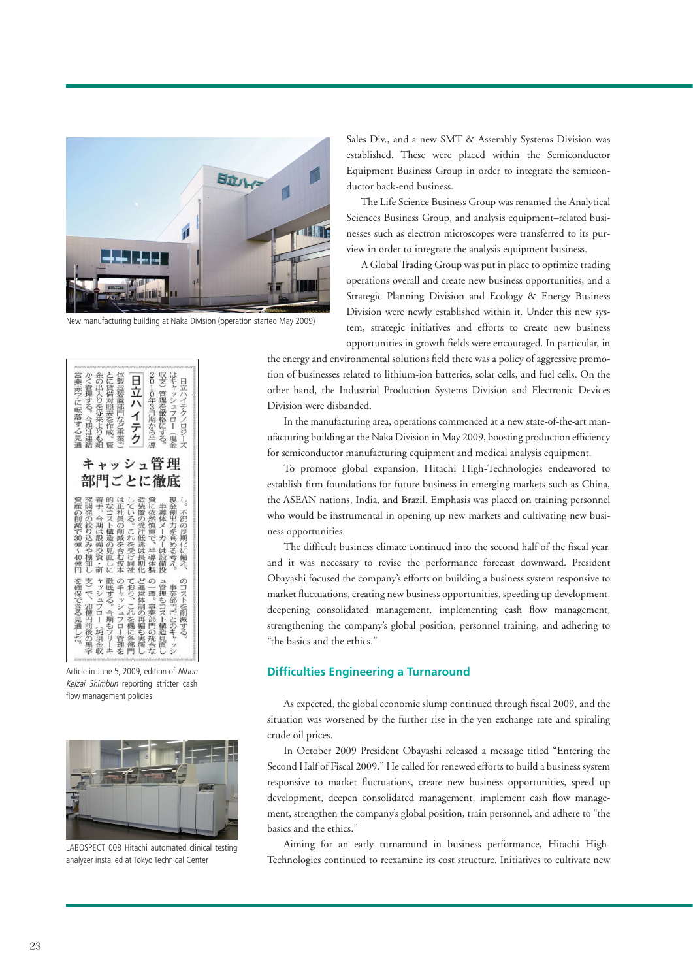

New manufacturing building at Naka Division (operation started May 2009)

| 0005000030000001050E+<br>竖支<br>か<br>体製造装置<br>はキ<br>金<br>とに<br>2<br>0<br>日立ハイテ<br>╯<br>の出<br>業赤<br>⊟<br>道借対<br>ī<br>Ÿ<br>管理<br>ャッシュフロ<br>λ<br>管理<br>立年<br>ハイ<br>学に転落<br>ŋ<br>する。<br>を従<br>照<br>部門など車<br>$\dot{3}$<br>定厳<br>テクノロジー<br>Ä<br>月期<br>$\triangle$<br>莱<br>癸を作成<br>格<br> する見<br>期<br>か<br>仁<br>ľ<br>より<br>ίĨ<br>こう半導<br>する。<br>ク<br>€<br>連<br>. e<br>現金<br>诵<br>Ż |                                                                                                                                                                    |
|---------------------------------------------------------------------------------------------------------------------------------------------------------------------------------------------------------------------------------------------------------------------------------------------------------------------------------------------------------------------------|--------------------------------------------------------------------------------------------------------------------------------------------------------------------|
| キャッシュ管理<br>部門ごとに徹底<br>造装<br>着手<br>的<br>$\frac{L}{C}$<br>究<br>産<br>開<br>な<br>īΕ<br>ö<br>置<br>社員<br>ζĪ<br>発<br>の削<br>今期<br>Ż<br>z<br>の<br>の受注低<br><ト構造<br>絞<br>減<br>の削<br>$\overline{6}$<br>30<br>は<br>これ<br>ŋ<br>运<br>設備<br>減<br>。を受け<br>億<br>を含む抜<br>迷は長<br>み<br> の見直<br>$rac{5}{40}$<br>乜<br>投資<br>棚<br>期<br>卸<br>同<br>億<br>l<br>٠<br>研<br>臼<br>ÎΥ.<br>木<br>衦<br>U       | 資に依然慎<br>現<br>Ų<br>半導体<br>金<br>創<br>不<br>茁<br>況<br>力<br>$\times$<br>ጣ<br>を高<br>重で<br>Ì<br>長<br>力<br>期<br>Ě<br>める<br>化<br>半導体<br>-は設備<br>汇<br>考<br>備<br>禿<br>え<br>曳 |
| を確保できる見<br>支<br>τ<br>ど運営体制<br>ヤツ<br>徹<br>$\sigma$<br>キャッシ<br>おり<br>底<br>Ç<br>シュ<br>子<br>2010<br>フ<br>これ<br>20<br>$\triangle$<br>$\mathbf{r}$<br>Ó<br>億<br>$\sigma$<br>を機<br>Ī<br>期<br>再<br>フロ<br>€<br>涌<br>前<br>編<br>純<br>$\mathbf{I}$<br>汇<br>しだ。<br>も)<br>í)<br>當理<br>洛部<br>実<br>珼<br>の<br>施<br>L<br>金<br>P٩<br>岑<br>収                                                  | $\sigma$<br>J,<br>管<br>事業部門ご<br>環<br>理<br>ö<br>〈トを削<br>もコ<br>事業部<br>Z<br>ごとのキ<br>(ト構造)<br>減<br>P٩<br>-ਰੇ<br>の統<br>見<br>ャ<br>直<br>合<br>ツ                            |

Article in June 5, 2009, edition of Nihon Keizai Shimbun reporting stricter cash flow management policies



LABOSPECT 008 Hitachi automated clinical testing analyzer installed at Tokyo Technical Center

Sales Div., and a new SMT & Assembly Systems Division was established. These were placed within the Semiconductor Equipment Business Group in order to integrate the semiconductor back-end business.

The Life Science Business Group was renamed the Analytical Sciences Business Group, and analysis equipment–related businesses such as electron microscopes were transferred to its purview in order to integrate the analysis equipment business.

A Global Trading Group was put in place to optimize trading operations overall and create new business opportunities, and a Strategic Planning Division and Ecology & Energy Business Division were newly established within it. Under this new system, strategic initiatives and efforts to create new business opportunities in growth fields were encouraged. In particular, in

the energy and environmental solutions field there was a policy of aggressive promotion of businesses related to lithium-ion batteries, solar cells, and fuel cells. On the other hand, the Industrial Production Systems Division and Electronic Devices Division were disbanded.

 In the manufacturing area, operations commenced at a new state-of-the-art manufacturing building at the Naka Division in May 2009, boosting production efficiency for semiconductor manufacturing equipment and medical analysis equipment.

 To promote global expansion, Hitachi High-Technologies endeavored to establish firm foundations for future business in emerging markets such as China, the ASEAN nations, India, and Brazil. Emphasis was placed on training personnel who would be instrumental in opening up new markets and cultivating new business opportunities.

The difficult business climate continued into the second half of the fiscal year, and it was necessary to revise the performance forecast downward. President Obayashi focused the company's efforts on building a business system responsive to market fluctuations, creating new business opportunities, speeding up development, deepening consolidated management, implementing cash flow management, strengthening the company's global position, personnel training, and adhering to "the basics and the ethics."

#### **Diffi culties Engineering a Turnaround**

As expected, the global economic slump continued through fiscal 2009, and the situation was worsened by the further rise in the yen exchange rate and spiraling crude oil prices.

 In October 2009 President Obayashi released a message titled "Entering the Second Half of Fiscal 2009." He called for renewed efforts to build a business system responsive to market fluctuations, create new business opportunities, speed up development, deepen consolidated management, implement cash flow management, strengthen the company's global position, train personnel, and adhere to "the basics and the ethics."

 Aiming for an early turnaround in business performance, Hitachi High-Technologies continued to reexamine its cost structure. Initiatives to cultivate new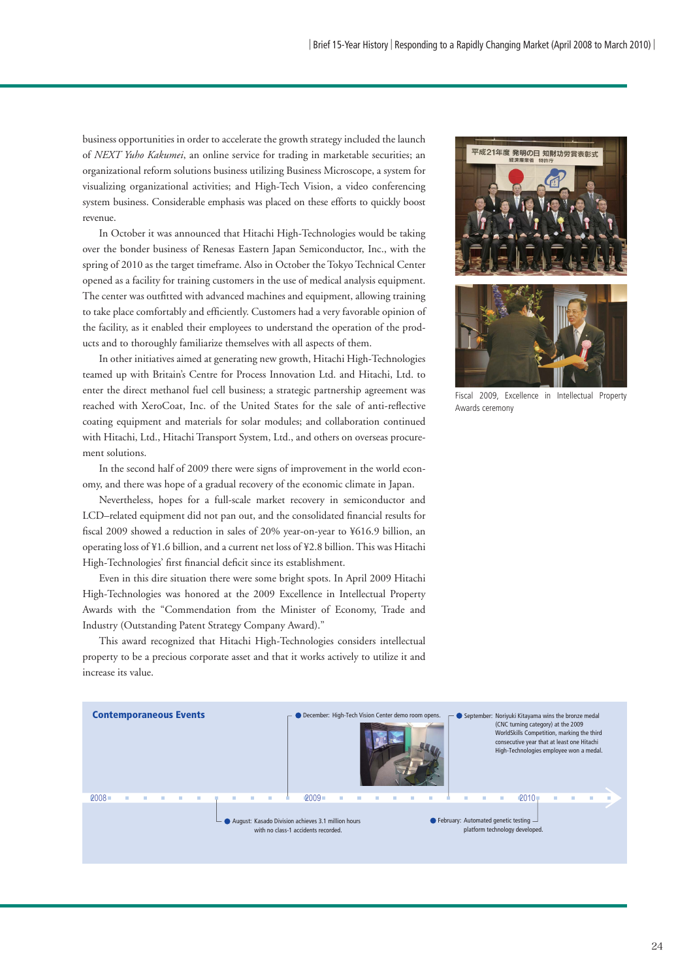business opportunities in order to accelerate the growth strategy included the launch of *NEXT Yuho Kakumei*, an online service for trading in marketable securities; an organizational reform solutions business utilizing Business Microscope, a system for visualizing organizational activities; and High-Tech Vision, a video conferencing system business. Considerable emphasis was placed on these efforts to quickly boost revenue.

 In October it was announced that Hitachi High-Technologies would be taking over the bonder business of Renesas Eastern Japan Semiconductor, Inc., with the spring of 2010 as the target timeframe. Also in October the Tokyo Technical Center opened as a facility for training customers in the use of medical analysis equipment. The center was outfitted with advanced machines and equipment, allowing training to take place comfortably and efficiently. Customers had a very favorable opinion of the facility, as it enabled their employees to understand the operation of the products and to thoroughly familiarize themselves with all aspects of them.

 In other initiatives aimed at generating new growth, Hitachi High-Technologies teamed up with Britain's Centre for Process Innovation Ltd. and Hitachi, Ltd. to enter the direct methanol fuel cell business; a strategic partnership agreement was reached with XeroCoat, Inc. of the United States for the sale of anti-reflective coating equipment and materials for solar modules; and collaboration continued with Hitachi, Ltd., Hitachi Transport System, Ltd., and others on overseas procurement solutions.

 In the second half of 2009 there were signs of improvement in the world economy, and there was hope of a gradual recovery of the economic climate in Japan.

 Nevertheless, hopes for a full-scale market recovery in semiconductor and LCD-related equipment did not pan out, and the consolidated financial results for fiscal 2009 showed a reduction in sales of 20% year-on-year to ¥616.9 billion, an operating loss of ¥1.6 billion, and a current net loss of ¥2.8 billion. This was Hitachi High-Technologies' first financial deficit since its establishment.

 Even in this dire situation there were some bright spots. In April 2009 Hitachi High-Technologies was honored at the 2009 Excellence in Intellectual Property Awards with the "Commendation from the Minister of Economy, Trade and Industry (Outstanding Patent Strategy Company Award)."

 This award recognized that Hitachi High-Technologies considers intellectual property to be a precious corporate asset and that it works actively to utilize it and increase its value.





Fiscal 2009, Excellence in Intellectual Property Awards ceremony